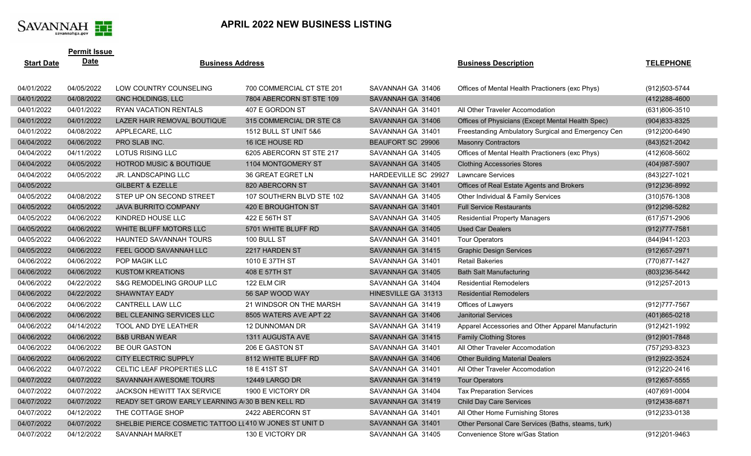

٠

## **APRIL 2022 NEW BUSINESS LISTING**

|                   | <b>Permit Issue</b> |                                                        |                           |                      |                                                    |                   |
|-------------------|---------------------|--------------------------------------------------------|---------------------------|----------------------|----------------------------------------------------|-------------------|
| <b>Start Date</b> | <b>Date</b>         | <b>Business Address</b>                                |                           |                      | <b>Business Description</b>                        | <b>TELEPHONE</b>  |
|                   |                     |                                                        |                           |                      |                                                    |                   |
| 04/01/2022        | 04/05/2022          | LOW COUNTRY COUNSELING                                 | 700 COMMERCIAL CT STE 201 | SAVANNAH GA 31406    | Offices of Mental Health Practioners (exc Phys)    | (912) 503-5744    |
| 04/01/2022        | 04/08/2022          | <b>GNC HOLDINGS, LLC</b>                               | 7804 ABERCORN ST STE 109  | SAVANNAH GA 31406    |                                                    | $(412)288 - 4600$ |
| 04/01/2022        | 04/01/2022          | RYAN VACATION RENTALS                                  | 407 E GORDON ST           | SAVANNAH GA 31401    | All Other Traveler Accomodation                    | (631)806-3510     |
| 04/01/2022        | 04/01/2022          | LAZER HAIR REMOVAL BOUTIQUE                            | 315 COMMERCIAL DR STE C8  | SAVANNAH GA 31406    | Offices of Physicians (Except Mental Health Spec)  | $(904)833 - 8325$ |
| 04/01/2022        | 04/08/2022          | APPLECARE, LLC                                         | 1512 BULL ST UNIT 5&6     | SAVANNAH GA 31401    | Freestanding Ambulatory Surgical and Emergency Cen | (912)200-6490     |
| 04/04/2022        | 04/06/2022          | PRO SLAB INC.                                          | 16 ICE HOUSE RD           | BEAUFORT SC 29906    | <b>Masonry Contractors</b>                         | (843) 521-2042    |
| 04/04/2022        | 04/11/2022          | <b>LOTUS RISING LLC</b>                                | 6205 ABERCORN ST STE 217  | SAVANNAH GA 31405    | Offices of Mental Health Practioners (exc Phys)    | (412)608-5602     |
| 04/04/2022        | 04/05/2022          | <b>HOTROD MUSIC &amp; BOUTIQUE</b>                     | 1104 MONTGOMERY ST        | SAVANNAH GA 31405    | <b>Clothing Accessories Stores</b>                 | (404) 987-5907    |
| 04/04/2022        | 04/05/2022          | JR. LANDSCAPING LLC                                    | 36 GREAT EGRET LN         | HARDEEVILLE SC 29927 | <b>Lawncare Services</b>                           | (843) 227-1021    |
| 04/05/2022        |                     | <b>GILBERT &amp; EZELLE</b>                            | 820 ABERCORN ST           | SAVANNAH GA 31401    | Offices of Real Estate Agents and Brokers          | $(912)236 - 8992$ |
| 04/05/2022        | 04/08/2022          | STEP UP ON SECOND STREET                               | 107 SOUTHERN BLVD STE 102 | SAVANNAH GA 31405    | Other Individual & Family Services                 | (310) 576-1308    |
| 04/05/2022        | 04/05/2022          | <b>JAVA BURRITO COMPANY</b>                            | 420 E BROUGHTON ST        | SAVANNAH GA 31401    | <b>Full Service Restaurants</b>                    | $(912)298 - 5282$ |
| 04/05/2022        | 04/06/2022          | KINDRED HOUSE LLC                                      | 422 E 56TH ST             | SAVANNAH GA 31405    | <b>Residential Property Managers</b>               | (617) 571-2906    |
| 04/05/2022        | 04/06/2022          | WHITE BLUFF MOTORS LLC                                 | 5701 WHITE BLUFF RD       | SAVANNAH GA 31405    | <b>Used Car Dealers</b>                            | (912) 777-7581    |
| 04/05/2022        | 04/06/2022          | HAUNTED SAVANNAH TOURS                                 | 100 BULL ST               | SAVANNAH GA 31401    | <b>Tour Operators</b>                              | (844) 941-1203    |
| 04/05/2022        | 04/06/2022          | FEEL GOOD SAVANNAH LLC                                 | 2217 HARDEN ST            | SAVANNAH GA 31415    | <b>Graphic Design Services</b>                     | (912) 657-2971    |
| 04/06/2022        | 04/06/2022          | POP MAGIK LLC                                          | 1010 E 37TH ST            | SAVANNAH GA 31401    | <b>Retail Bakeries</b>                             | (770)877-1427     |
| 04/06/2022        | 04/06/2022          | <b>KUSTOM KREATIONS</b>                                | 408 E 57TH ST             | SAVANNAH GA 31405    | <b>Bath Salt Manufacturing</b>                     | (803) 236-5442    |
| 04/06/2022        | 04/22/2022          | S&G REMODELING GROUP LLC                               | 122 ELM CIR               | SAVANNAH GA 31404    | <b>Residential Remodelers</b>                      | (912) 257-2013    |
| 04/06/2022        | 04/22/2022          | <b>SHAWNTAY EADY</b>                                   | 56 SAP WOOD WAY           | HINESVILLE GA 31313  | <b>Residential Remodelers</b>                      |                   |
| 04/06/2022        | 04/06/2022          | CANTRELL LAW LLC                                       | 21 WINDSOR ON THE MARSH   | SAVANNAH GA 31419    | Offices of Lawyers                                 | (912) 777-7567    |
| 04/06/2022        | 04/06/2022          | BEL CLEANING SERVICES LLC                              | 8505 WATERS AVE APT 22    | SAVANNAH GA 31406    | <b>Janitorial Services</b>                         | $(401)865 - 0218$ |
| 04/06/2022        | 04/14/2022          | TOOL AND DYE LEATHER                                   | 12 DUNNOMAN DR            | SAVANNAH GA 31419    | Apparel Accessories and Other Apparel Manufacturin | (912)421-1992     |
| 04/06/2022        | 04/06/2022          | <b>B&amp;B URBAN WEAR</b>                              | <b>1311 AUGUSTA AVE</b>   | SAVANNAH GA 31415    | <b>Family Clothing Stores</b>                      | $(912)901 - 7848$ |
| 04/06/2022        | 04/06/2022          | <b>BE OUR GASTON</b>                                   | 206 E GASTON ST           | SAVANNAH GA 31401    | All Other Traveler Accomodation                    | (757) 293-8323    |
| 04/06/2022        | 04/06/2022          | CITY ELECTRIC SUPPLY                                   | 8112 WHITE BLUFF RD       | SAVANNAH GA 31406    | <b>Other Building Material Dealers</b>             | (912) 922-3524    |
| 04/06/2022        | 04/07/2022          | CELTIC LEAF PROPERTIES LLC                             | 18 E 41ST ST              | SAVANNAH GA 31401    | All Other Traveler Accomodation                    | (912) 220-2416    |
| 04/07/2022        | 04/07/2022          | SAVANNAH AWESOME TOURS                                 | 12449 LARGO DR            | SAVANNAH GA 31419    | <b>Tour Operators</b>                              | $(912)657 - 5555$ |
| 04/07/2022        | 04/07/2022          | JACKSON HEWITT TAX SERVICE                             | 1900 E VICTORY DR         | SAVANNAH GA 31404    | <b>Tax Preparation Services</b>                    | (407)691-0004     |
| 04/07/2022        | 04/07/2022          | READY SET GROW EARLY LEARNING A 30 B BEN KELL RD       |                           | SAVANNAH GA 31419    | <b>Child Day Care Services</b>                     | (912)438-6871     |
| 04/07/2022        | 04/12/2022          | THE COTTAGE SHOP                                       | 2422 ABERCORN ST          | SAVANNAH GA 31401    | All Other Home Furnishing Stores                   | (912) 233-0138    |
| 04/07/2022        | 04/07/2022          | SHELBIE PIERCE COSMETIC TATTOO LL410 W JONES ST UNIT D |                           | SAVANNAH GA 31401    | Other Personal Care Services (Baths, steams, turk) |                   |
| 04/07/2022        | 04/12/2022          | SAVANNAH MARKET                                        | 130 E VICTORY DR          | SAVANNAH GA 31405    | Convenience Store w/Gas Station                    | (912) 201-9463    |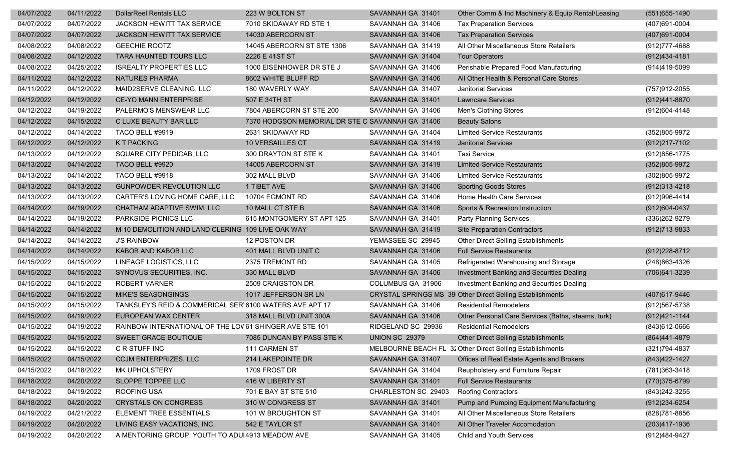| 04/07/2022 | 04/11/2022 | <b>DollarReel Rentals LLC</b>                           | 223 W BOLTON ST                                  | SAVANNAH GA 31401     | Other Comm & Ind Machinery & Equip Rental/Leasing         | $(551)655 - 1490$ |
|------------|------------|---------------------------------------------------------|--------------------------------------------------|-----------------------|-----------------------------------------------------------|-------------------|
| 04/07/2022 | 04/07/2022 | JACKSON HEWITT TAX SERVICE                              | 7010 SKIDAWAY RD STE 1                           | SAVANNAH GA 31406     | <b>Tax Preparation Services</b>                           | (407)691-0004     |
| 04/07/2022 | 04/07/2022 | JACKSON HEWITT TAX SERVICE                              | 14030 ABERCORN ST                                | SAVANNAH GA 31406     | <b>Tax Preparation Services</b>                           | (407) 691-0004    |
| 04/08/2022 | 04/08/2022 | <b>GEECHIE ROOTZ</b>                                    | 14045 ABERCORN ST STE 1306                       | SAVANNAH GA 31419     | All Other Miscellaneous Store Retailers                   | (912) 777-4688    |
| 04/08/2022 | 04/12/2022 | <b>TARA HAUNTED TOURS LLC</b>                           | 2226 E 41ST ST                                   | SAVANNAH GA 31404     | <b>Tour Operators</b>                                     | $(912)434 - 4181$ |
| 04/08/2022 | 04/25/2022 | <b>ISREALTY PROPERTIES LLC</b>                          | 1000 EISENHOWER DR STE J                         | SAVANNAH GA 31406     | Perishable Prepared Food Manufacturing                    | (914)419-5099     |
| 04/11/2022 | 04/12/2022 | NATURES PHARMA                                          | 8602 WHITE BLUFF RD                              | SAVANNAH GA 31406     | All Other Health & Personal Care Stores                   |                   |
| 04/11/2022 | 04/12/2022 | MAID2SERVE CLEANING, LLC                                | 180 WAVERLY WAY                                  | SAVANNAH GA 31407     | Janitorial Services                                       | (757) 912-2055    |
| 04/12/2022 | 04/12/2022 | <b>CE-YO MANN ENTERPRISE</b>                            | 507 E 34TH ST                                    | SAVANNAH GA 31401     | <b>Lawncare Services</b>                                  | (912)441-8870     |
| 04/12/2022 | 04/19/2022 | PALERMO'S MENSWEAR LLC                                  | 7804 ABERCORN ST STE 200                         | SAVANNAH GA 31406     | Men's Clothing Stores                                     | (912) 604-4148    |
| 04/12/2022 | 04/15/2022 | C LUXE BEAUTY BAR LLC                                   | 7370 HODGSON MEMORIAL DR STE C SAVANNAH GA 31406 |                       | <b>Beauty Salons</b>                                      |                   |
| 04/12/2022 | 04/14/2022 | TACO BELL #9919                                         | 2631 SKIDAWAY RD                                 | SAVANNAH GA 31404     | Limited-Service Restaurants                               | (352)805-9972     |
| 04/12/2022 | 04/12/2022 | <b>KT PACKING</b>                                       | <b>10 VERSAILLES CT</b>                          | SAVANNAH GA 31419     | <b>Janitorial Services</b>                                | (912) 217-7102    |
| 04/13/2022 | 04/12/2022 | SQUARE CITY PEDICAB, LLC                                | 300 DRAYTON ST STE K                             | SAVANNAH GA 31401     | <b>Taxi Service</b>                                       | (912) 856-1775    |
| 04/13/2022 | 04/14/2022 | TACO BELL #9920                                         | 14005 ABERCORN ST                                | SAVANNAH GA 31419     | <b>Limited-Service Restaurants</b>                        | (352)805-9972     |
| 04/13/2022 | 04/14/2022 | TACO BELL #9918                                         | 302 MALL BLVD                                    | SAVANNAH GA 31406     | Limited-Service Restaurants                               | (302)805-9972     |
| 04/13/2022 | 04/13/2022 | GUNPOWDER REVOLUTION LLC                                | 1 TIBET AVE                                      | SAVANNAH GA 31406     | <b>Sporting Goods Stores</b>                              | $(912)313 - 4218$ |
| 04/13/2022 | 04/13/2022 | CARTER'S LOVING HOME CARE, LLC                          | 10704 EGMONT RD                                  | SAVANNAH GA 31406     | Home Health Care Services                                 | (912) 996-4414    |
| 04/14/2022 | 04/19/2022 | CHATHAM ADAPTIVE SWIM, LLC                              | 10 MALL CT STE B                                 | SAVANNAH GA 31406     | Sports & Recreation Instruction                           | (912) 604-0437    |
| 04/14/2022 | 04/19/2022 | PARKSIDE PICNICS LLC                                    | 615 MONTGOMERY ST APT 125                        | SAVANNAH GA 31401     | <b>Party Planning Services</b>                            | (336) 262-9279    |
| 04/14/2022 | 04/14/2022 | M-10 DEMOLITION AND LAND CLERING 109 LIVE OAK WAY       |                                                  | SAVANNAH GA 31419     | <b>Site Preparation Contractors</b>                       | (912) 713-9833    |
| 04/14/2022 | 04/14/2022 | <b>J'S RAINBOW</b>                                      | 12 POSTON DR                                     | YEMASSEE SC 29945     | Other Direct Selling Establishments                       |                   |
| 04/14/2022 | 04/14/2022 | KABOB AND KABOB LLC                                     | 401 MALL BLVD UNIT C                             | SAVANNAH GA 31406     | <b>Full Service Restaurants</b>                           | $(912)228-8712$   |
| 04/15/2022 | 04/15/2022 | LINEAGE LOGISTICS, LLC                                  | 2375 TREMONT RD                                  | SAVANNAH GA 31405     | Refrigerated Warehousing and Storage                      | (248) 863-4326    |
| 04/15/2022 | 04/15/2022 | SYNOVUS SECURITIES, INC.                                | 330 MALL BLVD                                    | SAVANNAH GA 31406     | Investment Banking and Securities Dealing                 | (706) 641-3239    |
| 04/15/2022 | 04/15/2022 | ROBERT VARNER                                           | 2509 CRAIGSTON DR                                | COLUMBUS GA 31906     | Investment Banking and Securities Dealing                 |                   |
| 04/15/2022 | 04/15/2022 | <b>MIKE'S SEASONGINGS</b>                               | 1017 JEFFERSON SR LN                             |                       | CRYSTAL SPRINGS MS 39 Other Direct Selling Establishments | (407) 617-9446    |
| 04/15/2022 | 04/15/2022 | TANKSLEY'S REID & COMMERICAL SER'6100 WATERS AVE APT 17 |                                                  | SAVANNAH GA 31406     | <b>Residential Remodelers</b>                             | (912) 567-5738    |
| 04/15/2022 | 04/19/2022 | EUROPEAN WAX CENTER                                     | 318 MALL BLVD UNIT 300A                          | SAVANNAH GA 31406     | Other Personal Care Services (Baths, steams, turk)        | $(912)421-1144$   |
| 04/15/2022 | 04/19/2022 | RAINBOW INTERNATIONAL OF THE LOV61 SHINGER AVE STE 101  |                                                  | RIDGELAND SC 29936    | <b>Residential Remodelers</b>                             | (843) 612-0666    |
| 04/15/2022 | 04/15/2022 | SWEET GRACE BOUTIQUE                                    | 7085 DUNCAN BY PASS STE K                        | <b>UNION SC 29379</b> | Other Direct Selling Establishments                       | (864)441-4879     |
| 04/15/2022 | 04/15/2022 | C R STUFF INC                                           | 111 CARMEN ST                                    |                       | MELBOURNE BEACH FL 32 Other Direct Selling Establishments | (321) 794-4837    |
| 04/15/2022 | 04/15/2022 | <b>CCJM ENTERPRIZES, LLC</b>                            | 214 LAKEPOINTE DR                                | SAVANNAH GA 31407     | Offices of Real Estate Agents and Brokers                 | (843) 422-1427    |
| 04/15/2022 | 04/18/2022 | MK UPHOLSTERY                                           | 1709 FROST DR                                    | SAVANNAH GA 31404     | Reupholstery and Furniture Repair                         | (781) 363-3418    |
| 04/18/2022 | 04/20/2022 | SLOPPE TOPPEE LLC                                       | 416 W LIBERTY ST                                 | SAVANNAH GA 31401     | <b>Full Service Restaurants</b>                           | (770)375-6799     |
| 04/18/2022 | 04/19/2022 | ROOFING USA                                             | 701 E BAY ST STE 510                             | CHARLESTON SC 29403   | <b>Roofing Contractors</b>                                | (843) 242-3255    |
| 04/18/2022 | 04/20/2022 | <b>CRYSTALS ON CONGRESS</b>                             | 310 W CONGRESS ST                                | SAVANNAH GA 31401     | Pump and Pumping Equipment Manufacturing                  | (912) 234-6254    |
| 04/19/2022 | 04/21/2022 | ELEMENT TREE ESSENTIALS                                 | 101 W BROUGHTON ST                               | SAVANNAH GA 31401     | All Other Miscellaneous Store Retailers                   | (828) 781-8856    |
| 04/19/2022 | 04/20/2022 | LIVING EASY VACATIONS, INC.                             | 542 E TAYLOR ST                                  | SAVANNAH GA 31401     | All Other Traveler Accomodation                           | (203)417-1936     |
| 04/19/2022 | 04/20/2022 | A MENTORING GROUP, YOUTH TO ADUI4913 MEADOW AVE         |                                                  | SAVANNAH GA 31405     | Child and Youth Services                                  | (912)484-9427     |